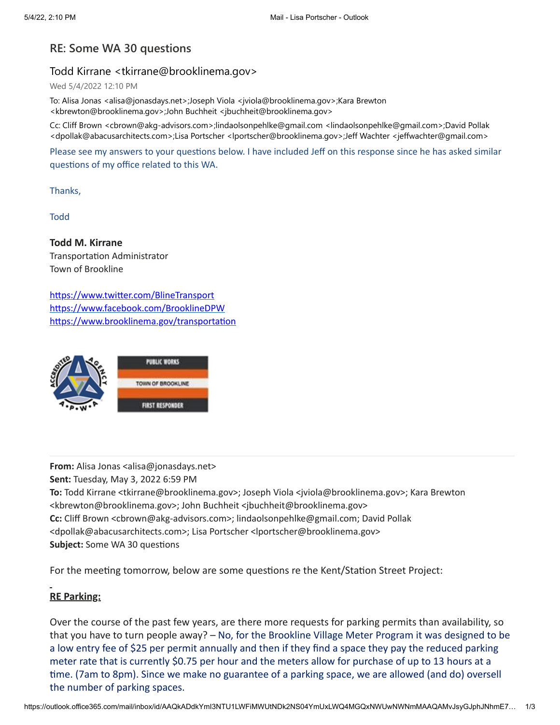## **RE: Some WA 30 questions**

## Todd Kirrane <tkirrane@brooklinema.gov>

Wed 5/4/2022 12:10 PM

To: Alisa Jonas <alisa@jonasdays.net>;Joseph Viola <jviola@brooklinema.gov>;Kara Brewton <kbrewton@brooklinema.gov>;John Buchheit <jbuchheit@brooklinema.gov>

Cc: Cliff Brown <cbrown@akg-advisors.com>;lindaolsonpehlke@gmail.com <lindaolsonpehlke@gmail.com>;David Pollak <dpollak@abacusarchitects.com>;Lisa Portscher <lportscher@brooklinema.gov>;Jeff Wachter <jeffwachter@gmail.com>

Please see my answers to your questions below. I have included Jeff on this response since he has asked similar questions of my office related to this WA.

Thanks,

Todd

**Todd M. Kirrane** Transportation Administrator Town of Brookline

<https://www.twitter.com/BlineTransport> <https://www.facebook.com/BrooklineDPW> <https://www.brooklinema.gov/transportation>



**From:** Alisa Jonas <alisa@jonasdays.net> **Sent:** Tuesday, May 3, 2022 6:59 PM **To:** Todd Kirrane <tkirrane@brooklinema.gov>; Joseph Viola <jviola@brooklinema.gov>; Kara Brewton <kbrewton@brooklinema.gov>; John Buchheit <jbuchheit@brooklinema.gov> **Cc:** Cliff Brown <cbrown@akg-advisors.com>; lindaolsonpehlke@gmail.com; David Pollak <dpollak@abacusarchitects.com>; Lisa Portscher <lportscher@brooklinema.gov> **Subject:** Some WA 30 questions

For the meeting tomorrow, below are some questions re the Kent/Station Street Project:

## **RE Parking:**

Over the course of the past few years, are there more requests for parking permits than availability, so that you have to turn people away? – No, for the Brookline Village Meter Program it was designed to be a low entry fee of \$25 per permit annually and then if they find a space they pay the reduced parking meter rate that is currently \$0.75 per hour and the meters allow for purchase of up to 13 hours at a time. (7am to 8pm). Since we make no guarantee of a parking space, we are allowed (and do) oversell the number of parking spaces.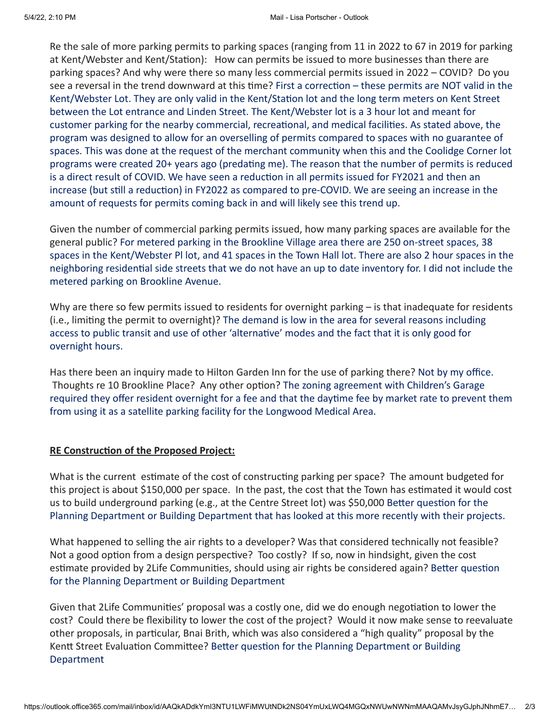Re the sale of more parking permits to parking spaces (ranging from 11 in 2022 to 67 in 2019 for parking at Kent/Webster and Kent/Station): How can permits be issued to more businesses than there are parking spaces? And why were there so many less commercial permits issued in 2022 – COVID? Do you see a reversal in the trend downward at this time? First a correction – these permits are NOT valid in the Kent/Webster Lot. They are only valid in the Kent/Station lot and the long term meters on Kent Street between the Lot entrance and Linden Street. The Kent/Webster lot is a 3 hour lot and meant for customer parking for the nearby commercial, recreational, and medical facilities. As stated above, the program was designed to allow for an overselling of permits compared to spaces with no guarantee of spaces. This was done at the request of the merchant community when this and the Coolidge Corner lot programs were created 20+ years ago (predating me). The reason that the number of permits is reduced is a direct result of COVID. We have seen a reduction in all permits issued for FY2021 and then an increase (but still a reduction) in FY2022 as compared to pre-COVID. We are seeing an increase in the amount of requests for permits coming back in and will likely see this trend up.

Given the number of commercial parking permits issued, how many parking spaces are available for the general public? For metered parking in the Brookline Village area there are 250 on-street spaces, 38 spaces in the Kent/Webster Pl lot, and 41 spaces in the Town Hall lot. There are also 2 hour spaces in the neighboring residential side streets that we do not have an up to date inventory for. I did not include the metered parking on Brookline Avenue.

Why are there so few permits issued to residents for overnight parking – is that inadequate for residents (i.e., limiting the permit to overnight)? The demand is low in the area for several reasons including access to public transit and use of other 'alternative' modes and the fact that it is only good for overnight hours.

Has there been an inquiry made to Hilton Garden Inn for the use of parking there? Not by my office. Thoughts re 10 Brookline Place? Any other option? The zoning agreement with Children's Garage required they offer resident overnight for a fee and that the daytime fee by market rate to prevent them from using it as a satellite parking facility for the Longwood Medical Area.

## **RE Construction of the Proposed Project:**

What is the current estimate of the cost of constructing parking per space? The amount budgeted for this project is about \$150,000 per space. In the past, the cost that the Town has estimated it would cost us to build underground parking (e.g., at the Centre Street lot) was \$50,000 Better question for the Planning Department or Building Department that has looked at this more recently with their projects.

What happened to selling the air rights to a developer? Was that considered technically not feasible? Not a good option from a design perspective? Too costly? If so, now in hindsight, given the cost estimate provided by 2Life Communities, should using air rights be considered again? Better question for the Planning Department or Building Department

Given that 2Life Communities' proposal was a costly one, did we do enough negotiation to lower the cost? Could there be flexibility to lower the cost of the project? Would it now make sense to reevaluate other proposals, in particular, Bnai Brith, which was also considered a "high quality" proposal by the Kentt Street Evaluation Committee? Better question for the Planning Department or Building Department